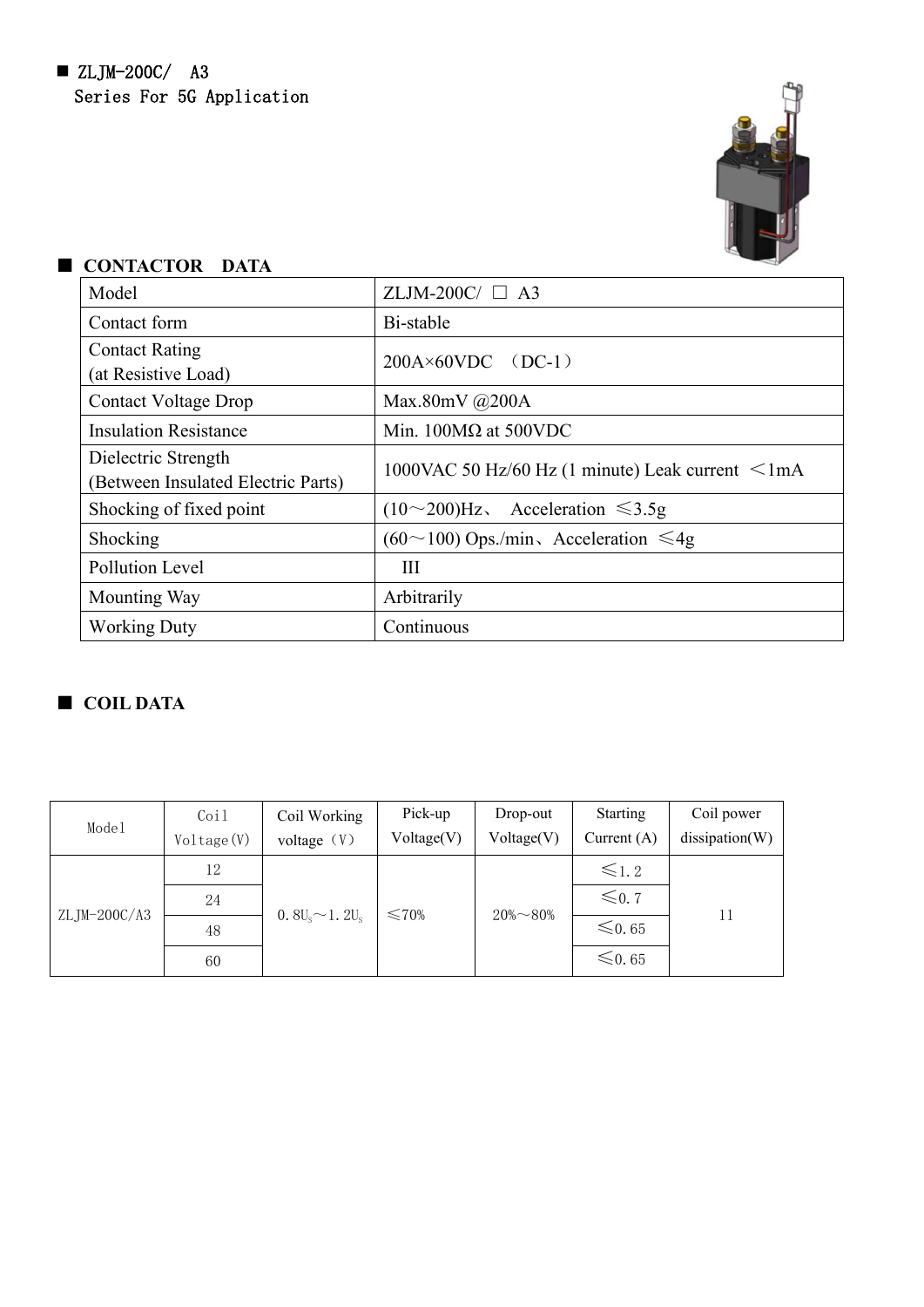

| Model                                                     | ZLJM-200C/ $\Box$ A3                                    |
|-----------------------------------------------------------|---------------------------------------------------------|
| Contact form                                              | Bi-stable                                               |
| <b>Contact Rating</b><br>(at Resistive Load)              | $200A \times 60VDC$ (DC-1)                              |
| <b>Contact Voltage Drop</b>                               | Max.80mV $@200A$                                        |
| <b>Insulation Resistance</b>                              | Min. $100M\Omega$ at 500VDC                             |
| Dielectric Strength<br>(Between Insulated Electric Parts) | 1000VAC 50 Hz/60 Hz (1 minute) Leak current $\leq$ 1 mA |
| Shocking of fixed point                                   | Acceleration $\leq 3.5g$<br>$(10\sim 200)$ Hz,          |
| Shocking                                                  | $(60 \sim 100)$ Ops./min, Acceleration $\leq 4g$        |
| <b>Pollution Level</b>                                    | Ш                                                       |
| Mounting Way                                              | Arbitrarily                                             |
| <b>Working Duty</b>                                       | Continuous                                              |

# ■ **CONTACTOR DATA**

## ■ **COIL DATA**

| Model        | Coil                       | Coil Working  | Pick-up    | Drop-out         | Starting      | Coil power     |
|--------------|----------------------------|---------------|------------|------------------|---------------|----------------|
|              | Voltage(V)                 | voltage $(V)$ | Voltage(V) | Voltage(V)       | Current $(A)$ | dissipation(W) |
|              | 12                         |               |            |                  | $\leq 1.2$    |                |
|              | 24                         |               |            | $20\% \sim 80\%$ | $\leq 0.7$    |                |
| ZLJM-200C/A3 | $0.8U_s \sim 1.2U_s$<br>48 | $\leq 70\%$   |            | $\leq 0.65$      | 11            |                |
|              | 60                         |               |            |                  | $\leq 0.65$   |                |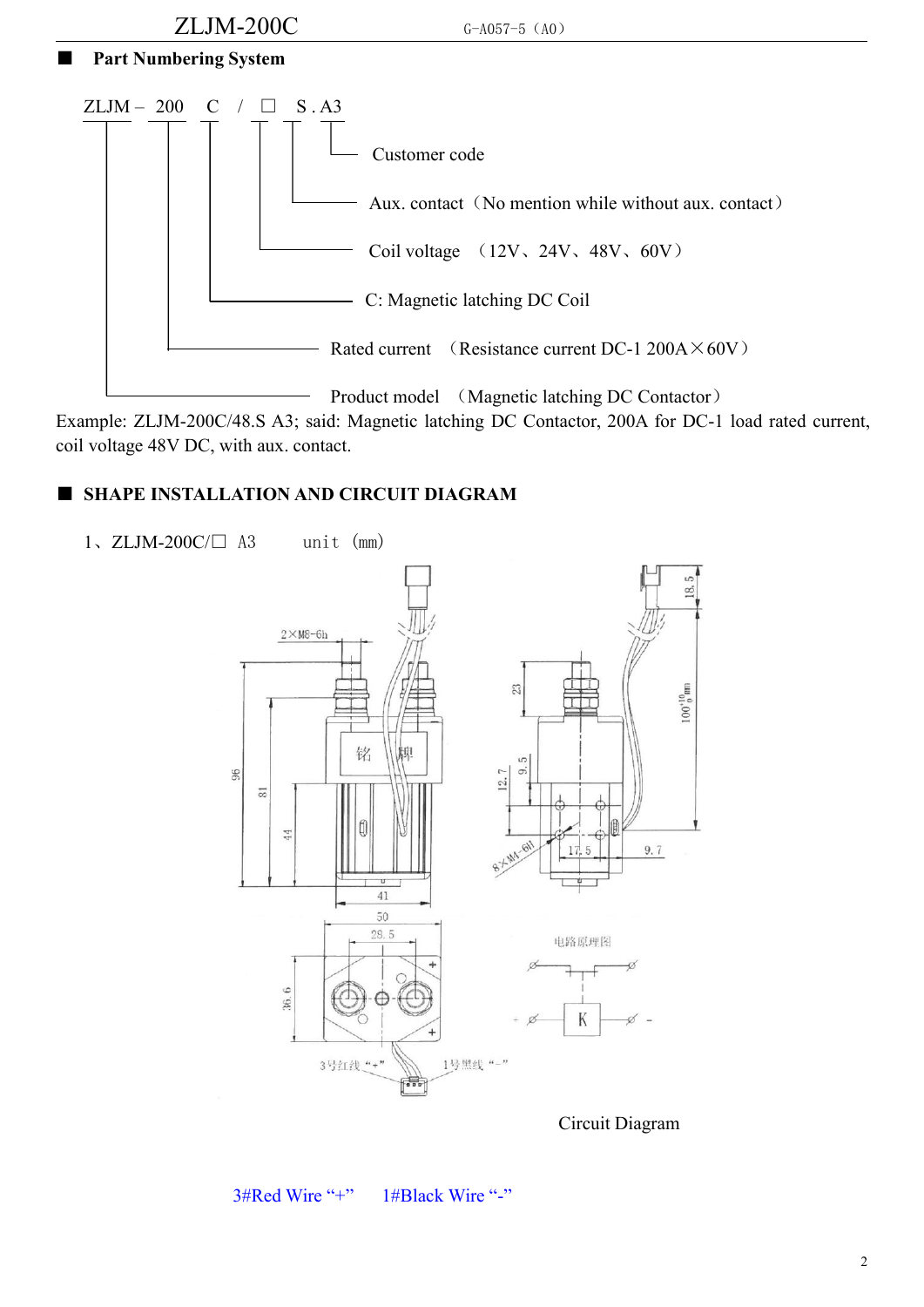

Example: ZLJM-200C/48.S A3; said: Magnetic latching DC Contactor, 200A for DC-1 load rated current, coil voltage 48V DC, with aux. contact.

#### ■ **SHAPE INSTALLATION AND CIRCUIT DIAGRAM**





Circuit Diagram

3#Red Wire "+" 1#Black Wire "-"